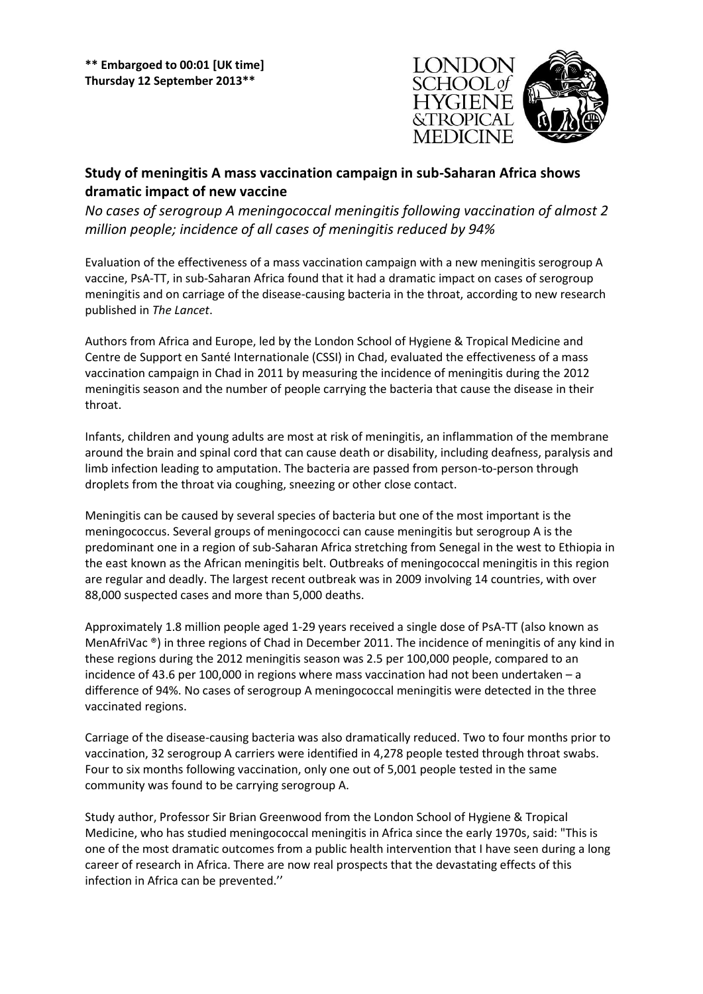

## **Study of meningitis A mass vaccination campaign in sub-Saharan Africa shows dramatic impact of new vaccine**

*No cases of serogroup A meningococcal meningitis following vaccination of almost 2 million people; incidence of all cases of meningitis reduced by 94%*

Evaluation of the effectiveness of a mass vaccination campaign with a new meningitis serogroup A vaccine, PsA-TT, in sub-Saharan Africa found that it had a dramatic impact on cases of serogroup meningitis and on carriage of the disease-causing bacteria in the throat, according to new research published in *The Lancet*.

Authors from Africa and Europe, led by the London School of Hygiene & Tropical Medicine and Centre de Support en Santé Internationale (CSSI) in Chad, evaluated the effectiveness of a mass vaccination campaign in Chad in 2011 by measuring the incidence of meningitis during the 2012 meningitis season and the number of people carrying the bacteria that cause the disease in their throat.

Infants, children and young adults are most at risk of meningitis, an inflammation of the membrane around the brain and spinal cord that can cause death or disability, including deafness, paralysis and limb infection leading to amputation. The bacteria are passed from person-to-person through droplets from the throat via coughing, sneezing or other close contact.

Meningitis can be caused by several species of bacteria but one of the most important is the meningococcus. Several groups of meningococci can cause meningitis but serogroup A is the predominant one in a region of sub-Saharan Africa stretching from Senegal in the west to Ethiopia in the east known as the African meningitis belt. Outbreaks of meningococcal meningitis in this region are regular and deadly. The largest recent outbreak was in 2009 involving 14 countries, with over 88,000 suspected cases and more than 5,000 deaths.

Approximately 1.8 million people aged 1-29 years received a single dose of PsA-TT (also known as MenAfriVac <sup>®</sup>) in three regions of Chad in December 2011. The incidence of meningitis of any kind in these regions during the 2012 meningitis season was 2.5 per 100,000 people, compared to an incidence of 43.6 per 100,000 in regions where mass vaccination had not been undertaken – a difference of 94%. No cases of serogroup A meningococcal meningitis were detected in the three vaccinated regions.

Carriage of the disease-causing bacteria was also dramatically reduced. Two to four months prior to vaccination, 32 serogroup A carriers were identified in 4,278 people tested through throat swabs. Four to six months following vaccination, only one out of 5,001 people tested in the same community was found to be carrying serogroup A.

Study author, Professor Sir Brian Greenwood from the London School of Hygiene & Tropical Medicine, who has studied meningococcal meningitis in Africa since the early 1970s, said: "This is one of the most dramatic outcomes from a public health intervention that I have seen during a long career of research in Africa. There are now real prospects that the devastating effects of this infection in Africa can be prevented.''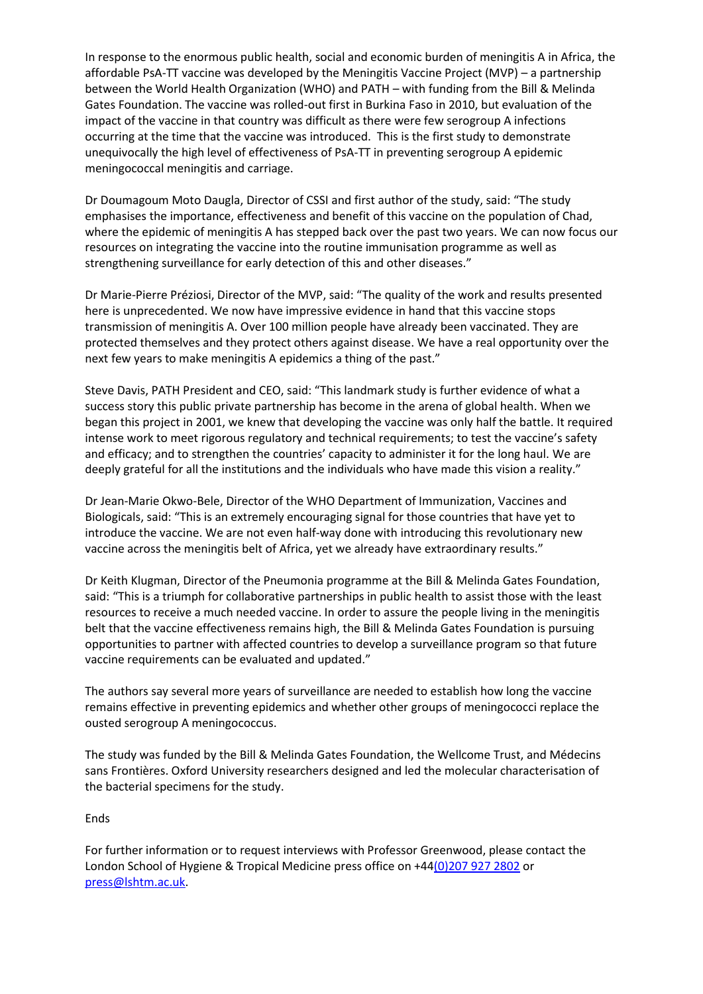In response to the enormous public health, social and economic burden of meningitis A in Africa, the affordable PsA-TT vaccine was developed by the Meningitis Vaccine Project (MVP) – a partnership between the World Health Organization (WHO) and PATH – with funding from the Bill & Melinda Gates Foundation. The vaccine was rolled-out first in Burkina Faso in 2010, but evaluation of the impact of the vaccine in that country was difficult as there were few serogroup A infections occurring at the time that the vaccine was introduced. This is the first study to demonstrate unequivocally the high level of effectiveness of PsA-TT in preventing serogroup A epidemic meningococcal meningitis and carriage.

Dr Doumagoum Moto Daugla, Director of CSSI and first author of the study, said: "The study emphasises the importance, effectiveness and benefit of this vaccine on the population of Chad, where the epidemic of meningitis A has stepped back over the past two years. We can now focus our resources on integrating the vaccine into the routine immunisation programme as well as strengthening surveillance for early detection of this and other diseases."

Dr Marie-Pierre Préziosi, Director of the MVP, said: "The quality of the work and results presented here is unprecedented. We now have impressive evidence in hand that this vaccine stops transmission of meningitis A. Over 100 million people have already been vaccinated. They are protected themselves and they protect others against disease. We have a real opportunity over the next few years to make meningitis A epidemics a thing of the past."

Steve Davis, PATH President and CEO, said: "This landmark study is further evidence of what a success story this public private partnership has become in the arena of global health. When we began this project in 2001, we knew that developing the vaccine was only half the battle. It required intense work to meet rigorous regulatory and technical requirements; to test the vaccine's safety and efficacy; and to strengthen the countries' capacity to administer it for the long haul. We are deeply grateful for all the institutions and the individuals who have made this vision a reality."

Dr Jean-Marie Okwo-Bele, Director of the WHO Department of Immunization, Vaccines and Biologicals, said: "This is an extremely encouraging signal for those countries that have yet to introduce the vaccine. We are not even half-way done with introducing this revolutionary new vaccine across the meningitis belt of Africa, yet we already have extraordinary results."

Dr Keith Klugman, Director of the Pneumonia programme at the Bill & Melinda Gates Foundation, said: "This is a triumph for collaborative partnerships in public health to assist those with the least resources to receive a much needed vaccine. In order to assure the people living in the meningitis belt that the vaccine effectiveness remains high, the Bill & Melinda Gates Foundation is pursuing opportunities to partner with affected countries to develop a surveillance program so that future vaccine requirements can be evaluated and updated."

The authors say several more years of surveillance are needed to establish how long the vaccine remains effective in preventing epidemics and whether other groups of meningococci replace the ousted serogroup A meningococcus.

The study was funded by the Bill & Melinda Gates Foundation, the Wellcome Trust, and Médecins sans Frontières. Oxford University researchers designed and led the molecular characterisation of the bacterial specimens for the study.

Ends

For further information or to request interviews with Professor Greenwood, please contact the London School of Hygiene & Tropical Medicine press office on +4[4\(0\)207 927 2802](tel:02079272802) or [press@lshtm.ac.uk.](mailto:press@lshtm.ac.uk)